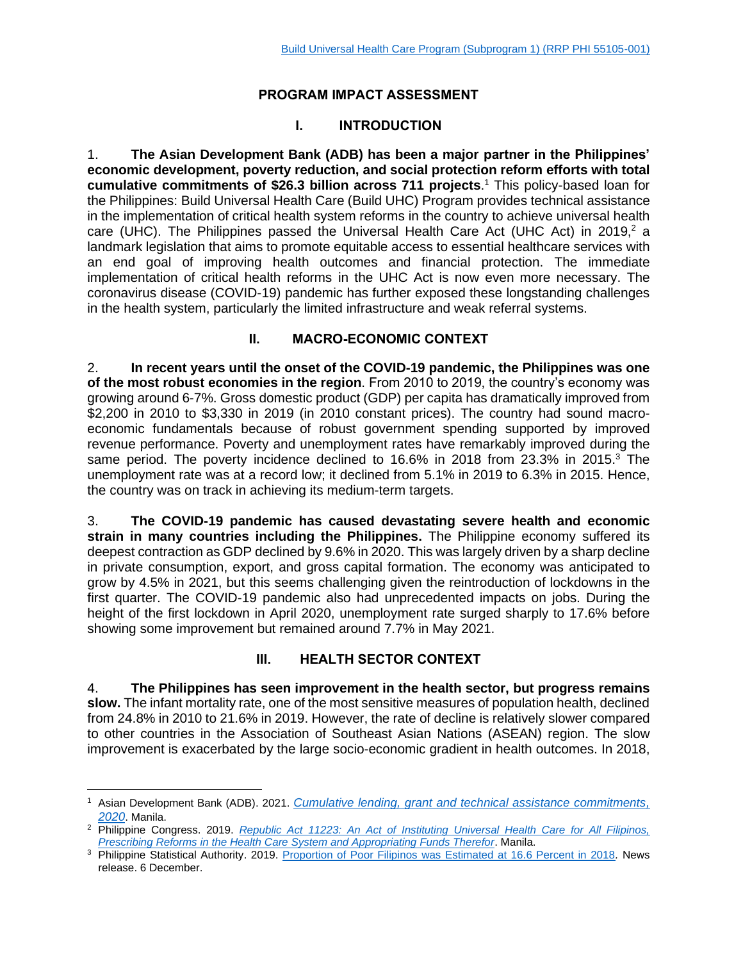## **PROGRAM IMPACT ASSESSMENT**

# **I. INTRODUCTION**

1. **The Asian Development Bank (ADB) has been a major partner in the Philippines' economic development, poverty reduction, and social protection reform efforts with total cumulative commitments of \$26.3 billion across 711 projects**. <sup>1</sup> This policy-based loan for the Philippines: Build Universal Health Care (Build UHC) Program provides technical assistance in the implementation of critical health system reforms in the country to achieve universal health care (UHC). The Philippines passed the Universal Health Care Act (UHC Act) in 2019, $2$  a landmark legislation that aims to promote equitable access to essential healthcare services with an end goal of improving health outcomes and financial protection. The immediate implementation of critical health reforms in the UHC Act is now even more necessary. The coronavirus disease (COVID-19) pandemic has further exposed these longstanding challenges in the health system, particularly the limited infrastructure and weak referral systems.

## **II. MACRO-ECONOMIC CONTEXT**

2. **In recent years until the onset of the COVID-19 pandemic, the Philippines was one of the most robust economies in the region**. From 2010 to 2019, the country's economy was growing around 6-7%. Gross domestic product (GDP) per capita has dramatically improved from \$2,200 in 2010 to \$3,330 in 2019 (in 2010 constant prices). The country had sound macroeconomic fundamentals because of robust government spending supported by improved revenue performance. Poverty and unemployment rates have remarkably improved during the same period. The poverty incidence declined to 16.6% in 2018 from 23.3% in 2015.<sup>3</sup> The unemployment rate was at a record low; it declined from 5.1% in 2019 to 6.3% in 2015. Hence, the country was on track in achieving its medium-term targets.

3. **The COVID-19 pandemic has caused devastating severe health and economic strain in many countries including the Philippines.** The Philippine economy suffered its deepest contraction as GDP declined by 9.6% in 2020. This was largely driven by a sharp decline in private consumption, export, and gross capital formation. The economy was anticipated to grow by 4.5% in 2021, but this seems challenging given the reintroduction of lockdowns in the first quarter. The COVID-19 pandemic also had unprecedented impacts on jobs. During the height of the first lockdown in April 2020, unemployment rate surged sharply to 17.6% before showing some improvement but remained around 7.7% in May 2021.

## **III. HEALTH SECTOR CONTEXT**

4. **The Philippines has seen improvement in the health sector, but progress remains slow.** The infant mortality rate, one of the most sensitive measures of population health, declined from 24.8% in 2010 to 21.6% in 2019. However, the rate of decline is relatively slower compared to other countries in the Association of Southeast Asian Nations (ASEAN) region. The slow improvement is exacerbated by the large socio-economic gradient in health outcomes. In 2018,

<sup>1</sup> Asian Development Bank (ADB). 2021. *[Cumulative lending, grant and technical assistance commitments,](https://data.adb.org/dataset/cumulative-lending-grant-and-technical-assistance-commitments)  [2020](https://data.adb.org/dataset/cumulative-lending-grant-and-technical-assistance-commitments)*. Manila.

<sup>2</sup> Philippine Congress. 2019. *Republic Act 11223: [An Act of Instituting Universal Health Care for All Filipinos,](https://www.congress.gov.ph/legisdocs/ra_17/RA11223.pdf)  [Prescribing Reforms in the Health Care System and Appropriating Funds Therefor](https://www.congress.gov.ph/legisdocs/ra_17/RA11223.pdf)*. Manila.

<sup>&</sup>lt;sup>3</sup> Philippine Statistical Authority. 2019. [Proportion of Poor Filipinos was Estimated at 16.6 Percent in 2018](https://psa.gov.ph/system/files/Press%20Release_2018FY.pdf). News release. 6 December.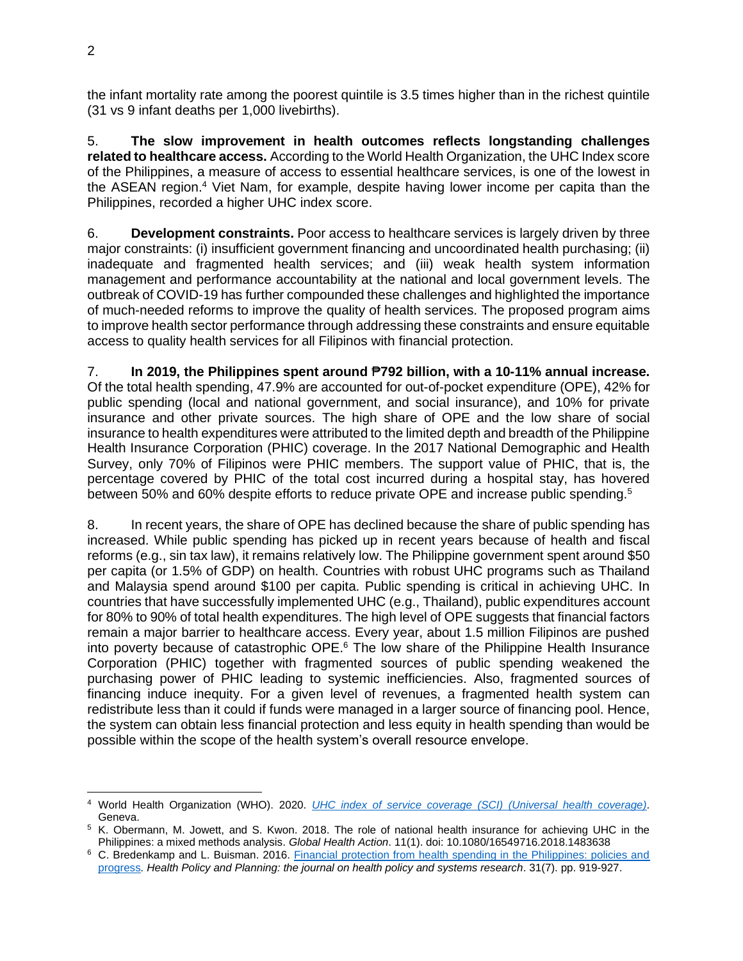the infant mortality rate among the poorest quintile is 3.5 times higher than in the richest quintile (31 vs 9 infant deaths per 1,000 livebirths).

5. **The slow improvement in health outcomes reflects longstanding challenges related to healthcare access.** According to the World Health Organization, the UHC Index score of the Philippines, a measure of access to essential healthcare services, is one of the lowest in the ASEAN region.<sup>4</sup> Viet Nam, for example, despite having lower income per capita than the Philippines, recorded a higher UHC index score.

6. **Development constraints.** Poor access to healthcare services is largely driven by three major constraints: (i) insufficient government financing and uncoordinated health purchasing; (ii) inadequate and fragmented health services; and (iii) weak health system information management and performance accountability at the national and local government levels. The outbreak of COVID-19 has further compounded these challenges and highlighted the importance of much-needed reforms to improve the quality of health services. The proposed program aims to improve health sector performance through addressing these constraints and ensure equitable access to quality health services for all Filipinos with financial protection.

7. **In 2019, the Philippines spent around** ₱**792 billion, with a 10-11% annual increase.** Of the total health spending, 47.9% are accounted for out-of-pocket expenditure (OPE), 42% for public spending (local and national government, and social insurance), and 10% for private insurance and other private sources. The high share of OPE and the low share of social insurance to health expenditures were attributed to the limited depth and breadth of the Philippine Health Insurance Corporation (PHIC) coverage. In the 2017 National Demographic and Health Survey, only 70% of Filipinos were PHIC members. The support value of PHIC, that is, the percentage covered by PHIC of the total cost incurred during a hospital stay, has hovered between 50% and 60% despite efforts to reduce private OPE and increase public spending.<sup>5</sup>

8. In recent years, the share of OPE has declined because the share of public spending has increased. While public spending has picked up in recent years because of health and fiscal reforms (e.g., sin tax law), it remains relatively low. The Philippine government spent around \$50 per capita (or 1.5% of GDP) on health. Countries with robust UHC programs such as Thailand and Malaysia spend around \$100 per capita. Public spending is critical in achieving UHC. In countries that have successfully implemented UHC (e.g., Thailand), public expenditures account for 80% to 90% of total health expenditures. The high level of OPE suggests that financial factors remain a major barrier to healthcare access. Every year, about 1.5 million Filipinos are pushed into poverty because of catastrophic OPE. <sup>6</sup> The low share of the Philippine Health Insurance Corporation (PHIC) together with fragmented sources of public spending weakened the purchasing power of PHIC leading to systemic inefficiencies. Also, fragmented sources of financing induce inequity. For a given level of revenues, a fragmented health system can redistribute less than it could if funds were managed in a larger source of financing pool. Hence, the system can obtain less financial protection and less equity in health spending than would be possible within the scope of the health system's overall resource envelope.

<sup>4</sup> World Health Organization (WHO). 2020. *UHC index of service coverage [\(SCI\) \(Universal health coverage\)](https://apps.who.int/gho/data/node.imr.UHC_INDEX_REPORTED?lang=en)*. Geneva.

<sup>5</sup> K. Obermann, M. Jowett, and S. Kwon. 2018. The role of national health insurance for achieving UHC in the Philippines: a mixed methods analysis. *Global Health Action*. 11(1). doi: 10.1080/16549716.2018.1483638

<sup>&</sup>lt;sup>6</sup> C. Bredenkamp and L. Buisman. 2016. Financial protection from health spending in the Philippines: policies and [progress](https://academic.oup.com/heapol/article/31/7/919/1750658)*. Health Policy and Planning: the journal on health policy and systems research*. 31(7). pp. 919-927.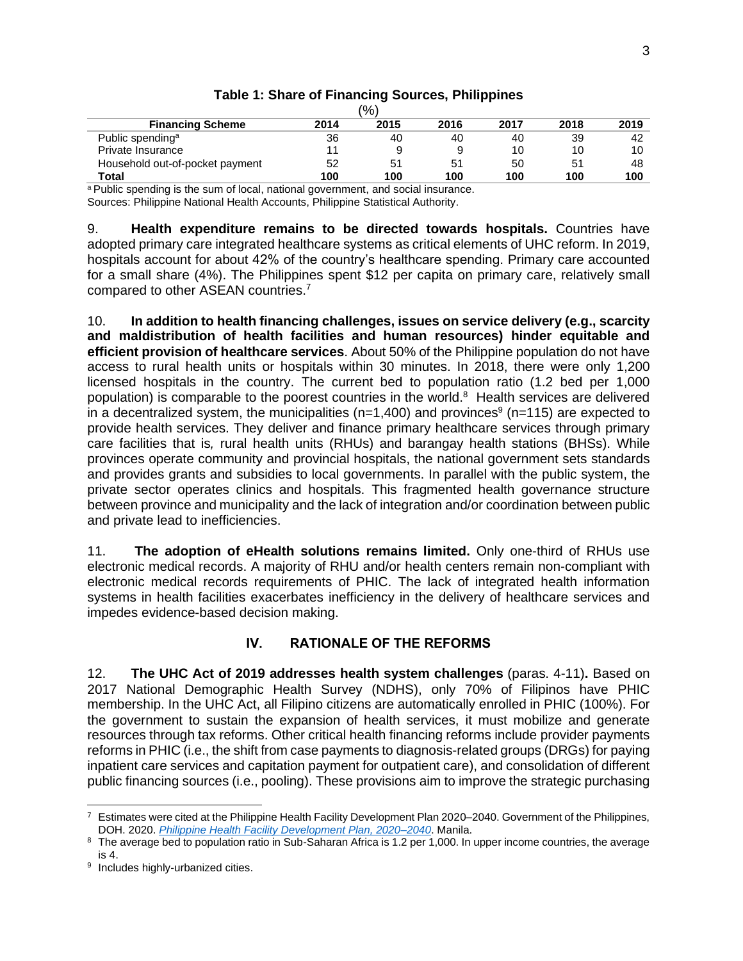| $\frac{1}{6}$                   |      |      |      |      |      |      |
|---------------------------------|------|------|------|------|------|------|
| <b>Financing Scheme</b>         | 2014 | 2015 | 2016 | 2017 | 2018 | 2019 |
| Public spending <sup>a</sup>    | 36   | 40   | 40   | 40   | 39   | 42   |
| Private Insurance               |      |      | 9    | 10   | 10   | 10   |
| Household out-of-pocket payment | 52   | 51   | 51   | 50   | 51   | 48   |
| Total                           | 100  | 100  | 100  | 100  | 100  | 100  |

## **Table 1: Share of Financing Sources, Philippines**

a Public spending is the sum of local, national government, and social insurance. Sources: Philippine National Health Accounts, Philippine Statistical Authority.

9. **Health expenditure remains to be directed towards hospitals.** Countries have adopted primary care integrated healthcare systems as critical elements of UHC reform. In 2019, hospitals account for about 42% of the country's healthcare spending. Primary care accounted for a small share (4%). The Philippines spent \$12 per capita on primary care, relatively small compared to other ASEAN countries.<sup>7</sup>

10. **In addition to health financing challenges, issues on service delivery (e.g., scarcity and maldistribution of health facilities and human resources) hinder equitable and efficient provision of healthcare services**. About 50% of the Philippine population do not have access to rural health units or hospitals within 30 minutes. In 2018, there were only 1,200 licensed hospitals in the country. The current bed to population ratio (1.2 bed per 1,000 population) is comparable to the poorest countries in the world. <sup>8</sup> Health services are delivered in a decentralized system, the municipalities (n=1,400) and provinces<sup>9</sup> (n=115) are expected to provide health services. They deliver and finance primary healthcare services through primary care facilities that is*,* rural health units (RHUs) and barangay health stations (BHSs). While provinces operate community and provincial hospitals, the national government sets standards and provides grants and subsidies to local governments. In parallel with the public system, the private sector operates clinics and hospitals. This fragmented health governance structure between province and municipality and the lack of integration and/or coordination between public and private lead to inefficiencies.

11. **The adoption of eHealth solutions remains limited.** Only one-third of RHUs use electronic medical records. A majority of RHU and/or health centers remain non-compliant with electronic medical records requirements of PHIC. The lack of integrated health information systems in health facilities exacerbates inefficiency in the delivery of healthcare services and impedes evidence-based decision making.

#### **IV. RATIONALE OF THE REFORMS**

12. **The UHC Act of 2019 addresses health system challenges** (paras. 4-11)**.** Based on 2017 National Demographic Health Survey (NDHS), only 70% of Filipinos have PHIC membership. In the UHC Act, all Filipino citizens are automatically enrolled in PHIC (100%). For the government to sustain the expansion of health services, it must mobilize and generate resources through tax reforms. Other critical health financing reforms include provider payments reforms in PHIC (i.e., the shift from case payments to diagnosis-related groups (DRGs) for paying inpatient care services and capitation payment for outpatient care), and consolidation of different public financing sources (i.e., pooling). These provisions aim to improve the strategic purchasing

 $^7$  Estimates were cited at the Philippine Health Facility Development Plan 2020–2040. Government of the Philippines, DOH. 2020. *[Philippine Health Facility Development Plan, 2020–2040](https://doh.gov.ph/sites/default/files/basic-page/DOH_PHILIPPINE%20HEALTH%20FACILITY%20DEVELOPMENT%20PLAN%202020_2040.pdf)*. Manila.

<sup>&</sup>lt;sup>8</sup> The average bed to population ratio in Sub-Saharan Africa is 1.2 per 1,000. In upper income countries, the average is 4.

<sup>&</sup>lt;sup>9</sup> Includes highly-urbanized cities.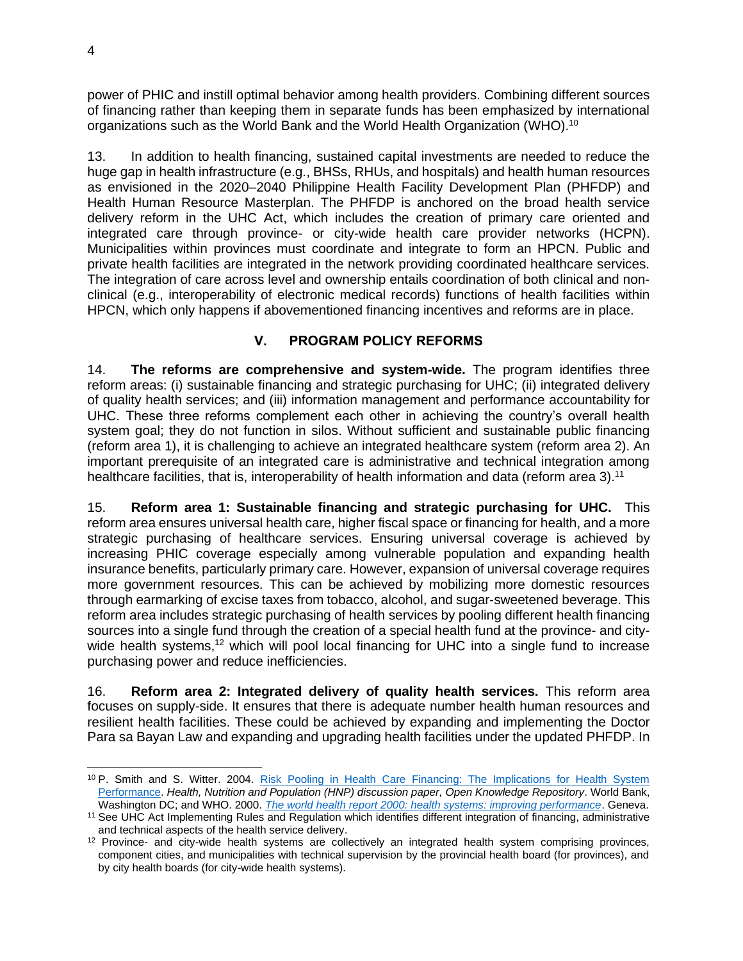power of PHIC and instill optimal behavior among health providers. Combining different sources of financing rather than keeping them in separate funds has been emphasized by international organizations such as the World Bank and the World Health Organization (WHO).<sup>10</sup>

13. In addition to health financing, sustained capital investments are needed to reduce the huge gap in health infrastructure (e.g., BHSs, RHUs, and hospitals) and health human resources as envisioned in the 2020–2040 Philippine Health Facility Development Plan (PHFDP) and Health Human Resource Masterplan. The PHFDP is anchored on the broad health service delivery reform in the UHC Act, which includes the creation of primary care oriented and integrated care through province- or city-wide health care provider networks (HCPN). Municipalities within provinces must coordinate and integrate to form an HPCN. Public and private health facilities are integrated in the network providing coordinated healthcare services. The integration of care across level and ownership entails coordination of both clinical and nonclinical (e.g., interoperability of electronic medical records) functions of health facilities within HPCN, which only happens if abovementioned financing incentives and reforms are in place.

## **V. PROGRAM POLICY REFORMS**

14. **The reforms are comprehensive and system-wide.** The program identifies three reform areas: (i) sustainable financing and strategic purchasing for UHC; (ii) integrated delivery of quality health services; and (iii) information management and performance accountability for UHC. These three reforms complement each other in achieving the country's overall health system goal; they do not function in silos. Without sufficient and sustainable public financing (reform area 1), it is challenging to achieve an integrated healthcare system (reform area 2). An important prerequisite of an integrated care is administrative and technical integration among healthcare facilities, that is, interoperability of health information and data (reform area 3).<sup>11</sup>

15. **Reform area 1: Sustainable financing and strategic purchasing for UHC.** This reform area ensures universal health care, higher fiscal space or financing for health, and a more strategic purchasing of healthcare services. Ensuring universal coverage is achieved by increasing PHIC coverage especially among vulnerable population and expanding health insurance benefits, particularly primary care. However, expansion of universal coverage requires more government resources. This can be achieved by mobilizing more domestic resources through earmarking of excise taxes from tobacco, alcohol, and sugar-sweetened beverage. This reform area includes strategic purchasing of health services by pooling different health financing sources into a single fund through the creation of a special health fund at the province- and citywide health systems,<sup>12</sup> which will pool local financing for UHC into a single fund to increase purchasing power and reduce inefficiencies.

16. **Reform area 2: Integrated delivery of quality health services.** This reform area focuses on supply-side. It ensures that there is adequate number health human resources and resilient health facilities. These could be achieved by expanding and implementing the Doctor Para sa Bayan Law and expanding and upgrading health facilities under the updated PHFDP. In

<sup>&</sup>lt;sup>10</sup> P. Smith and S. Witter. 2004. Risk Pooling in Health Care Financing: The Implications for Health System [Performance.](https://openknowledge.worldbank.org/handle/10986/13651) Health, Nutrition and Population (HNP) discussion paper, Open Knowledge Repository. World Bank, Washington DC; and WHO. 2000. *[The world health report 2000: health systems: improving performance](https://www.who.int/whr/2000/en/whr00_en.pdf)*. Geneva.

<sup>11</sup> See UHC Act Implementing Rules and Regulation which identifies different integration of financing, administrative and technical aspects of the health service delivery.

<sup>&</sup>lt;sup>12</sup> Province- and city-wide health systems are collectively an integrated health system comprising provinces, component cities, and municipalities with technical supervision by the provincial health board (for provinces), and by city health boards (for city-wide health systems).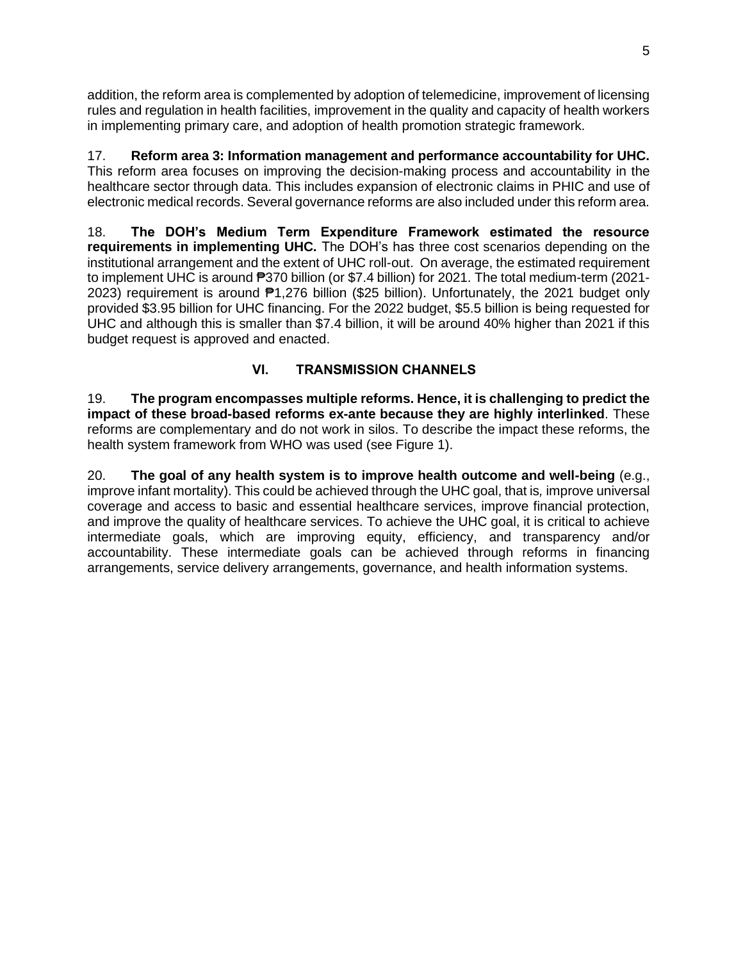addition, the reform area is complemented by adoption of telemedicine, improvement of licensing rules and regulation in health facilities, improvement in the quality and capacity of health workers in implementing primary care, and adoption of health promotion strategic framework.

17. **Reform area 3: Information management and performance accountability for UHC.**  This reform area focuses on improving the decision-making process and accountability in the healthcare sector through data. This includes expansion of electronic claims in PHIC and use of electronic medical records. Several governance reforms are also included under this reform area.

18. **The DOH's Medium Term Expenditure Framework estimated the resource requirements in implementing UHC.** The DOH's has three cost scenarios depending on the institutional arrangement and the extent of UHC roll-out. On average, the estimated requirement to implement UHC is around  $\overline{P}370$  billion (or \$7.4 billion) for 2021. The total medium-term (2021-2023) requirement is around ₱1,276 billion (\$25 billion). Unfortunately, the 2021 budget only provided \$3.95 billion for UHC financing. For the 2022 budget, \$5.5 billion is being requested for UHC and although this is smaller than \$7.4 billion, it will be around 40% higher than 2021 if this budget request is approved and enacted.

# **VI. TRANSMISSION CHANNELS**

19. **The program encompasses multiple reforms. Hence, it is challenging to predict the impact of these broad-based reforms ex-ante because they are highly interlinked**. These reforms are complementary and do not work in silos. To describe the impact these reforms, the health system framework from WHO was used (see Figure 1).

20. **The goal of any health system is to improve health outcome and well-being** (e.g., improve infant mortality). This could be achieved through the UHC goal, that is*,* improve universal coverage and access to basic and essential healthcare services, improve financial protection, and improve the quality of healthcare services. To achieve the UHC goal, it is critical to achieve intermediate goals, which are improving equity, efficiency, and transparency and/or accountability. These intermediate goals can be achieved through reforms in financing arrangements, service delivery arrangements, governance, and health information systems.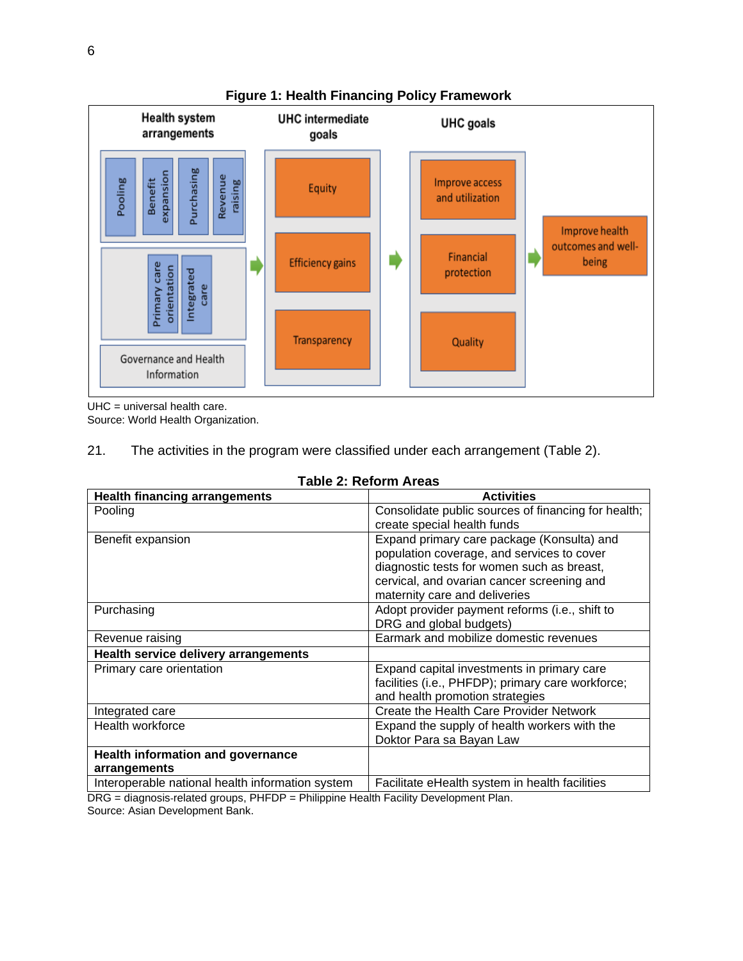

**Figure 1: Health Financing Policy Framework**

UHC = universal health care.

Source: World Health Organization.

21. The activities in the program were classified under each arrangement (Table 2).

| <b>Health financing arrangements</b>              | <b>Activities</b>                                                                                                                                                                                                     |
|---------------------------------------------------|-----------------------------------------------------------------------------------------------------------------------------------------------------------------------------------------------------------------------|
| Pooling                                           | Consolidate public sources of financing for health;<br>create special health funds                                                                                                                                    |
| Benefit expansion                                 | Expand primary care package (Konsulta) and<br>population coverage, and services to cover<br>diagnostic tests for women such as breast,<br>cervical, and ovarian cancer screening and<br>maternity care and deliveries |
| Purchasing                                        | Adopt provider payment reforms (i.e., shift to<br>DRG and global budgets)                                                                                                                                             |
| Revenue raising                                   | Earmark and mobilize domestic revenues                                                                                                                                                                                |
| <b>Health service delivery arrangements</b>       |                                                                                                                                                                                                                       |
| Primary care orientation                          | Expand capital investments in primary care<br>facilities (i.e., PHFDP); primary care workforce;<br>and health promotion strategies                                                                                    |
| Integrated care                                   | Create the Health Care Provider Network                                                                                                                                                                               |
| Health workforce                                  | Expand the supply of health workers with the<br>Doktor Para sa Bayan Law                                                                                                                                              |
| Health information and governance<br>arrangements |                                                                                                                                                                                                                       |
| Interoperable national health information system  | Facilitate eHealth system in health facilities                                                                                                                                                                        |

DRG = diagnosis-related groups, PHFDP = Philippine Health Facility Development Plan.

Source: Asian Development Bank.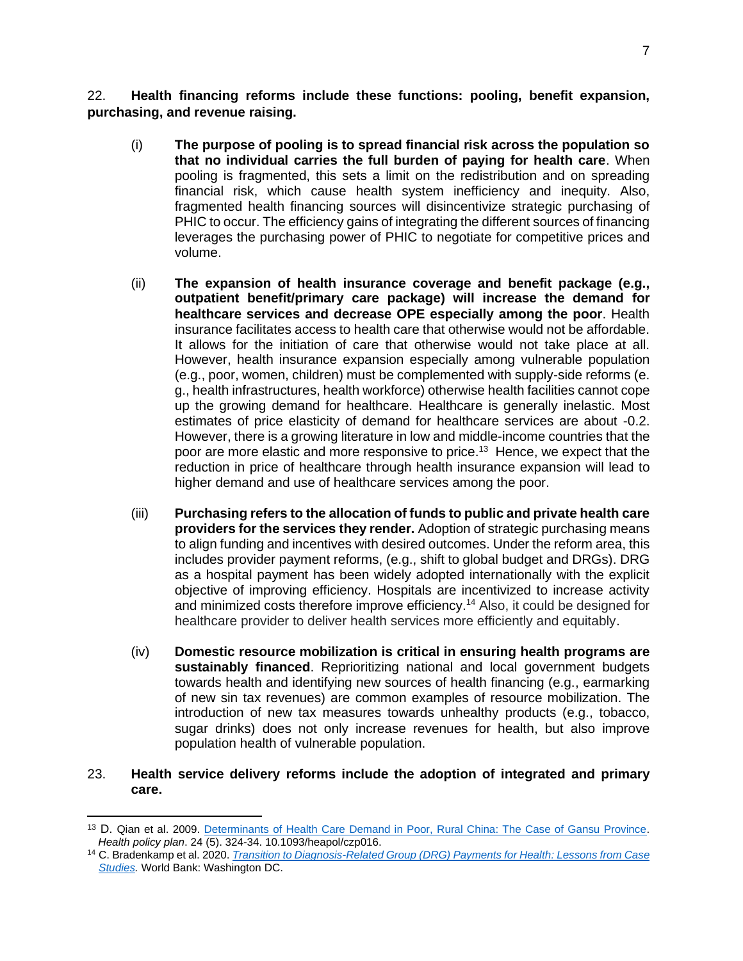22. **Health financing reforms include these functions: pooling, benefit expansion, purchasing, and revenue raising.** 

- (i) **The purpose of pooling is to spread financial risk across the population so that no individual carries the full burden of paying for health care**. When pooling is fragmented, this sets a limit on the redistribution and on spreading financial risk, which cause health system inefficiency and inequity. Also, fragmented health financing sources will disincentivize strategic purchasing of PHIC to occur. The efficiency gains of integrating the different sources of financing leverages the purchasing power of PHIC to negotiate for competitive prices and volume.
- (ii) **The expansion of health insurance coverage and benefit package (e.g., outpatient benefit/primary care package) will increase the demand for healthcare services and decrease OPE especially among the poor**. Health insurance facilitates access to health care that otherwise would not be affordable. It allows for the initiation of care that otherwise would not take place at all. However, health insurance expansion especially among vulnerable population (e.g., poor, women, children) must be complemented with supply-side reforms (e. g., health infrastructures, health workforce) otherwise health facilities cannot cope up the growing demand for healthcare. Healthcare is generally inelastic. Most estimates of price elasticity of demand for healthcare services are about -0.2. However, there is a growing literature in low and middle-income countries that the poor are more elastic and more responsive to price.<sup>13</sup> Hence, we expect that the reduction in price of healthcare through health insurance expansion will lead to higher demand and use of healthcare services among the poor.
- (iii) **Purchasing refers to the allocation of funds to public and private health care providers for the services they render.** Adoption of strategic purchasing means to align funding and incentives with desired outcomes. Under the reform area, this includes provider payment reforms, (e.g., shift to global budget and DRGs). DRG as a hospital payment has been widely adopted internationally with the explicit objective of improving efficiency. Hospitals are incentivized to increase activity and minimized costs therefore improve efficiency. <sup>14</sup> Also, it could be designed for healthcare provider to deliver health services more efficiently and equitably.
- (iv) **Domestic resource mobilization is critical in ensuring health programs are sustainably financed**. Reprioritizing national and local government budgets towards health and identifying new sources of health financing (e.g., earmarking of new sin tax revenues) are common examples of resource mobilization. The introduction of new tax measures towards unhealthy products (e.g., tobacco, sugar drinks) does not only increase revenues for health, but also improve population health of vulnerable population.

#### 23. **Health service delivery reforms include the adoption of integrated and primary care.**

<sup>&</sup>lt;sup>13</sup> D. Qian et al. 2009. [Determinants of Health Care Demand in Poor, Rural China: The Case of Gansu Province.](https://pubmed.ncbi.nlm.nih.gov/19429698/) *Health policy plan*. 24 (5). 324-34. 10.1093/heapol/czp016.

<sup>14</sup> C. Bradenkamp et al. 2020. *[Transition to Diagnosis-Related Group \(DRG\) Payments for Health: Lessons from Case](https://openknowledge.worldbank.org/bitstream/handle/10986/33034/9781464815218.pdf?sequence=2&isAllowed=y)  [Studies.](https://openknowledge.worldbank.org/bitstream/handle/10986/33034/9781464815218.pdf?sequence=2&isAllowed=y)* World Bank: Washington DC.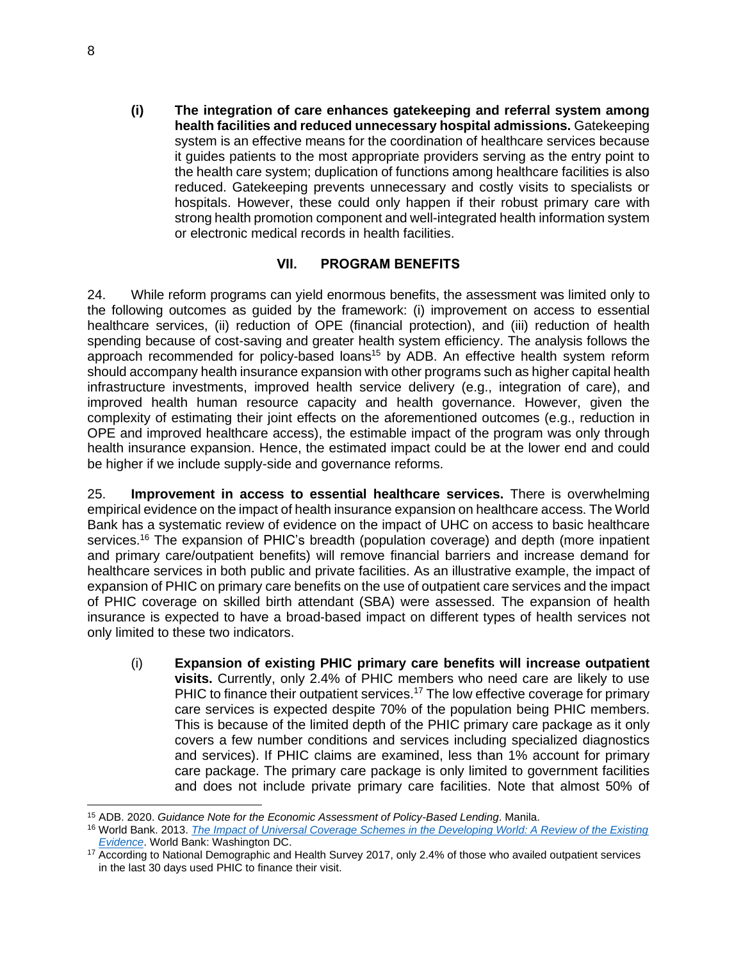**(i) The integration of care enhances gatekeeping and referral system among health facilities and reduced unnecessary hospital admissions.** Gatekeeping system is an effective means for the coordination of healthcare services because it guides patients to the most appropriate providers serving as the entry point to the health care system; duplication of functions among healthcare facilities is also reduced. Gatekeeping prevents unnecessary and costly visits to specialists or hospitals. However, these could only happen if their robust primary care with strong health promotion component and well-integrated health information system or electronic medical records in health facilities.

#### **VII. PROGRAM BENEFITS**

24. While reform programs can yield enormous benefits, the assessment was limited only to the following outcomes as guided by the framework: (i) improvement on access to essential healthcare services, (ii) reduction of OPE (financial protection), and (iii) reduction of health spending because of cost-saving and greater health system efficiency. The analysis follows the approach recommended for policy-based loans<sup>15</sup> by ADB. An effective health system reform should accompany health insurance expansion with other programs such as higher capital health infrastructure investments, improved health service delivery (e.g., integration of care), and improved health human resource capacity and health governance. However, given the complexity of estimating their joint effects on the aforementioned outcomes (e.g., reduction in OPE and improved healthcare access), the estimable impact of the program was only through health insurance expansion. Hence, the estimated impact could be at the lower end and could be higher if we include supply-side and governance reforms.

25. **Improvement in access to essential healthcare services.** There is overwhelming empirical evidence on the impact of health insurance expansion on healthcare access. The World Bank has a systematic review of evidence on the impact of UHC on access to basic healthcare services.<sup>16</sup> The expansion of PHIC's breadth (population coverage) and depth (more inpatient and primary care/outpatient benefits) will remove financial barriers and increase demand for healthcare services in both public and private facilities. As an illustrative example, the impact of expansion of PHIC on primary care benefits on the use of outpatient care services and the impact of PHIC coverage on skilled birth attendant (SBA) were assessed. The expansion of health insurance is expected to have a broad-based impact on different types of health services not only limited to these two indicators.

(i) **Expansion of existing PHIC primary care benefits will increase outpatient visits.** Currently, only 2.4% of PHIC members who need care are likely to use PHIC to finance their outpatient services.<sup>17</sup> The low effective coverage for primary care services is expected despite 70% of the population being PHIC members. This is because of the limited depth of the PHIC primary care package as it only covers a few number conditions and services including specialized diagnostics and services). If PHIC claims are examined, less than 1% account for primary care package. The primary care package is only limited to government facilities and does not include private primary care facilities. Note that almost 50% of

<sup>15</sup> ADB. 2020. *Guidance Note for the Economic Assessment of Policy-Based Lending*. Manila.

<sup>16</sup> World Bank. 2013. *[The Impact of Universal Coverage Schemes in the Developing World: A Review of the Existing](https://openknowledge.worldbank.org/bitstream/handle/10986/13302/75326.pdf?sequence=1&isAllowed=y)  [Evidence](https://openknowledge.worldbank.org/bitstream/handle/10986/13302/75326.pdf?sequence=1&isAllowed=y)*. World Bank: Washington DC.

<sup>&</sup>lt;sup>17</sup> According to National Demographic and Health Survey 2017, only 2.4% of those who availed outpatient services in the last 30 days used PHIC to finance their visit.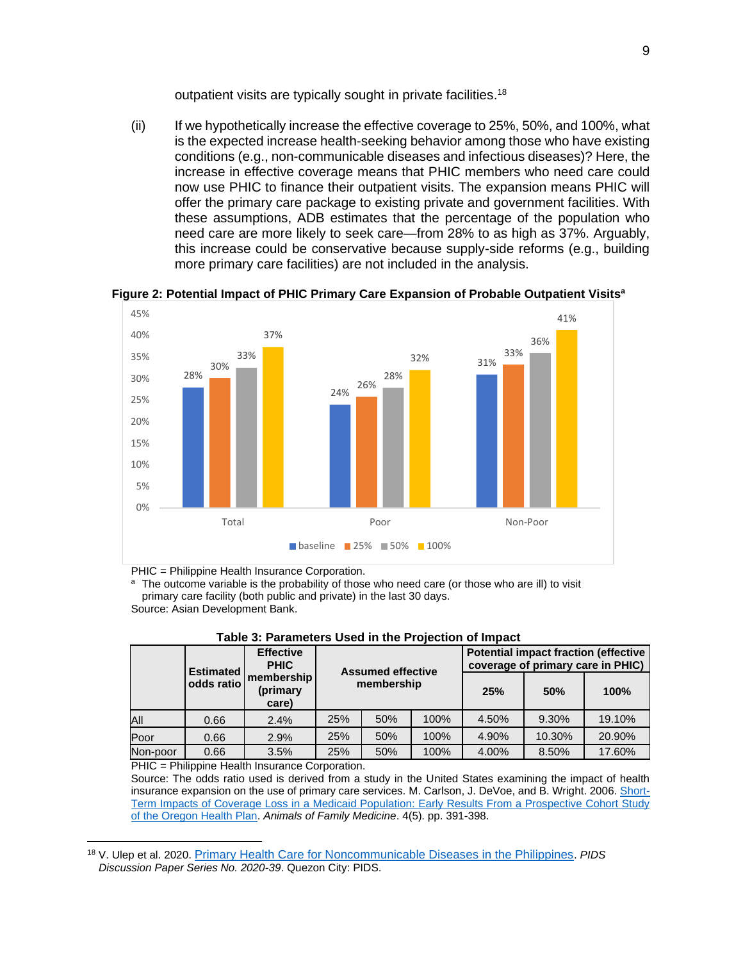outpatient visits are typically sought in private facilities.<sup>18</sup>

(ii) If we hypothetically increase the effective coverage to 25%, 50%, and 100%, what is the expected increase health-seeking behavior among those who have existing conditions (e.g., non-communicable diseases and infectious diseases)? Here, the increase in effective coverage means that PHIC members who need care could now use PHIC to finance their outpatient visits. The expansion means PHIC will offer the primary care package to existing private and government facilities. With these assumptions, ADB estimates that the percentage of the population who need care are more likely to seek care—from 28% to as high as 37%. Arguably, this increase could be conservative because supply-side reforms (e.g., building more primary care facilities) are not included in the analysis.



**Figure 2: Potential Impact of PHIC Primary Care Expansion of Probable Outpatient Visits<sup>a</sup>**

PHIC = Philippine Health Insurance Corporation.

<sup>a</sup> The outcome variable is the probability of those who need care (or those who are ill) to visit primary care facility (both public and private) in the last 30 days. Source: Asian Development Bank.

|          | <b>Estimated</b> | <b>Effective</b><br><b>PHIC</b> | <b>Assumed effective</b> |     |      | <b>Potential impact fraction (effective</b><br>coverage of primary care in PHIC) |        |        |
|----------|------------------|---------------------------------|--------------------------|-----|------|----------------------------------------------------------------------------------|--------|--------|
|          | odds ratio       | membership<br>(primary<br>care) | membership               |     | 25%  | 50%                                                                              | 100%   |        |
| All      | 0.66             | 2.4%                            | 25%                      | 50% | 100% | 4.50%                                                                            | 9.30%  | 19.10% |
| Poor     | 0.66             | 2.9%                            | 25%                      | 50% | 100% | 4.90%                                                                            | 10.30% | 20.90% |
| Non-poor | 0.66             | 3.5%                            | 25%                      | 50% | 100% | 4.00%                                                                            | 8.50%  | 17.60% |

**Table 3: Parameters Used in the Projection of Impact**

PHIC = Philippine Health Insurance Corporation.

Source: The odds ratio used is derived from a study in the United States examining the impact of health insurance expansion on the use of primary care services. M. Carlson, J. DeVoe, and B. Wright. 2006. [Short-](https://www.ncbi.nlm.nih.gov/pmc/articles/PMC1578659/)[Term Impacts of Coverage Loss in a Medicaid Population: Early Results From a Prospective Cohort Study](https://www.ncbi.nlm.nih.gov/pmc/articles/PMC1578659/)  [of the Oregon Health Plan.](https://www.ncbi.nlm.nih.gov/pmc/articles/PMC1578659/) *Animals of Family Medicine*. 4(5). pp. 391-398.

<sup>18</sup> V. Ulep et al. 2020. [Primary Health Care for Noncommunicable Diseases in the Philippines](https://pidswebs.pids.gov.ph/CDN/PUBLICATIONS/pidsdps2039.pdf). *PIDS Discussion Paper Series No. 2020-39*. Quezon City: PIDS.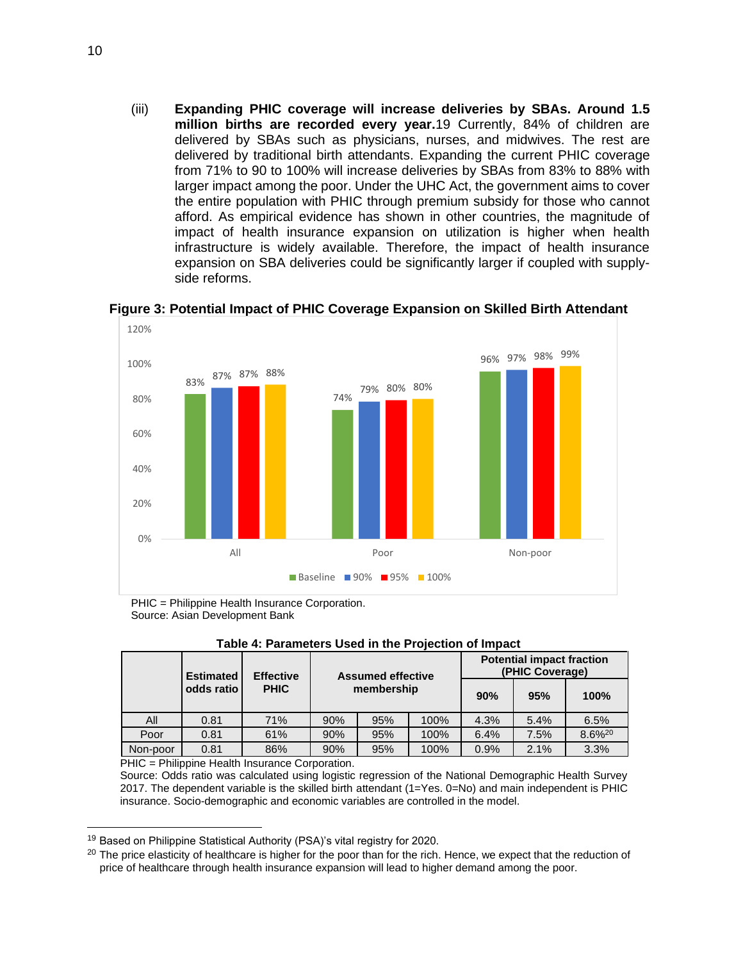(iii) **Expanding PHIC coverage will increase deliveries by SBAs. Around 1.5 million births are recorded every year.**19 Currently, 84% of children are delivered by SBAs such as physicians, nurses, and midwives. The rest are delivered by traditional birth attendants. Expanding the current PHIC coverage from 71% to 90 to 100% will increase deliveries by SBAs from 83% to 88% with larger impact among the poor. Under the UHC Act, the government aims to cover the entire population with PHIC through premium subsidy for those who cannot afford. As empirical evidence has shown in other countries, the magnitude of impact of health insurance expansion on utilization is higher when health infrastructure is widely available. Therefore, the impact of health insurance expansion on SBA deliveries could be significantly larger if coupled with supplyside reforms.



**Figure 3: Potential Impact of PHIC Coverage Expansion on Skilled Birth Attendant** 

PHIC = Philippine Health Insurance Corporation. Source: Asian Development Bank

|          | <b>Estimated</b> | <b>Effective</b> | <b>Assumed effective</b> |     | <b>Potential impact fraction</b><br>(PHIC Coverage) |      |      |                    |
|----------|------------------|------------------|--------------------------|-----|-----------------------------------------------------|------|------|--------------------|
|          | odds ratio       | <b>PHIC</b>      | membership               |     |                                                     | 90%  | 95%  | 100%               |
| All      | 0.81             | 71%              | 90%                      | 95% | 100%                                                | 4.3% | 5.4% | 6.5%               |
| Poor     | 0.81             | 61%              | 90%                      | 95% | 100%                                                | 6.4% | 7.5% | 8.6% <sup>20</sup> |
| Non-poor | 0.81             | 86%              | 90%                      | 95% | 100%                                                | 0.9% | 2.1% | 3.3%               |

**Table 4: Parameters Used in the Projection of Impact**

PHIC = Philippine Health Insurance Corporation.

Source: Odds ratio was calculated using logistic regression of the National Demographic Health Survey 2017. The dependent variable is the skilled birth attendant (1=Yes. 0=No) and main independent is PHIC insurance. Socio-demographic and economic variables are controlled in the model.

<sup>&</sup>lt;sup>19</sup> Based on Philippine Statistical Authority (PSA)'s vital registry for 2020.

<sup>&</sup>lt;sup>20</sup> The price elasticity of healthcare is higher for the poor than for the rich. Hence, we expect that the reduction of price of healthcare through health insurance expansion will lead to higher demand among the poor.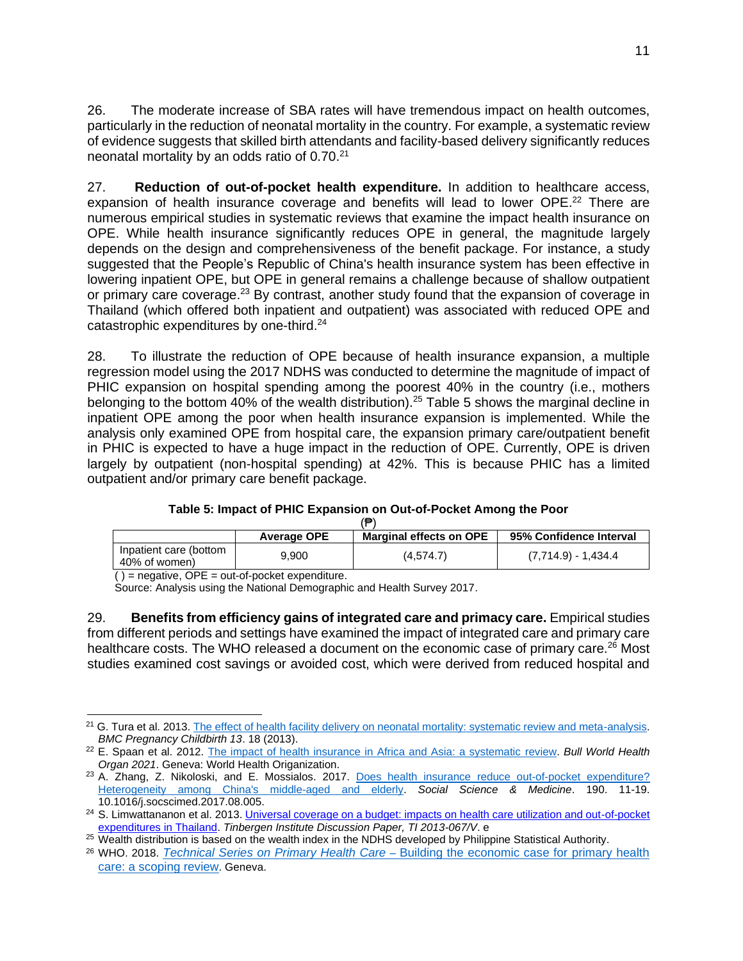26. The moderate increase of SBA rates will have tremendous impact on health outcomes, particularly in the reduction of neonatal mortality in the country. For example, a systematic review of evidence suggests that skilled birth attendants and facility-based delivery significantly reduces neonatal mortality by an odds ratio of 0.70.<sup>21</sup>

27. **Reduction of out-of-pocket health expenditure.** In addition to healthcare access, expansion of health insurance coverage and benefits will lead to lower OPE.<sup>22</sup> There are numerous empirical studies in systematic reviews that examine the impact health insurance on OPE. While health insurance significantly reduces OPE in general, the magnitude largely depends on the design and comprehensiveness of the benefit package. For instance, a study suggested that the People's Republic of China's health insurance system has been effective in lowering inpatient OPE, but OPE in general remains a challenge because of shallow outpatient or primary care coverage.<sup>23</sup> By contrast, another study found that the expansion of coverage in Thailand (which offered both inpatient and outpatient) was associated with reduced OPE and catastrophic expenditures by one-third.<sup>24</sup>

28. To illustrate the reduction of OPE because of health insurance expansion, a multiple regression model using the 2017 NDHS was conducted to determine the magnitude of impact of PHIC expansion on hospital spending among the poorest 40% in the country (i.e., mothers belonging to the bottom 40% of the wealth distribution).<sup>25</sup> Table 5 shows the marginal decline in inpatient OPE among the poor when health insurance expansion is implemented. While the analysis only examined OPE from hospital care, the expansion primary care/outpatient benefit in PHIC is expected to have a huge impact in the reduction of OPE. Currently, OPE is driven largely by outpatient (non-hospital spending) at 42%. This is because PHIC has a limited outpatient and/or primary care benefit package.

#### **Table 5: Impact of PHIC Expansion on Out-of-Pocket Among the Poor**

| €                                       |                    |                         |                         |  |  |  |  |
|-----------------------------------------|--------------------|-------------------------|-------------------------|--|--|--|--|
|                                         | <b>Average OPE</b> | Marginal effects on OPE | 95% Confidence Interval |  |  |  |  |
| Inpatient care (bottom<br>40% of women) | 9.900              | (4.574.7)               | (7,714.9) - 1,434.4     |  |  |  |  |
| $\cdots$ $\sim$                         |                    |                         |                         |  |  |  |  |

 $( )$  = negative, OPE = out-of-pocket expenditure.

Source: Analysis using the National Demographic and Health Survey 2017.

29. **Benefits from efficiency gains of integrated care and primacy care.** Empirical studies from different periods and settings have examined the impact of integrated care and primary care healthcare costs. The WHO released a document on the economic case of primary care.<sup>26</sup> Most studies examined cost savings or avoided cost, which were derived from reduced hospital and

<sup>&</sup>lt;sup>21</sup> G. Tura et al. 2013[. The effect of health facility delivery on neonatal mortality: systematic review and meta-analysis.](https://bmcpregnancychildbirth.biomedcentral.com/articles/10.1186/1471-2393-13-18) *BMC Pregnancy Childbirth 13*. 18 (2013).

<sup>22</sup> E. Spaan et al. 2012. [The impact of health insurance in Africa and Asia: a systematic](https://www.who.int/bulletin/volumes/90/9/12-102301.pdf) review. *Bull World Health Organ 2021*. Geneva: World Health Origanization.

<sup>&</sup>lt;sup>23</sup> A. Zhang, Z. Nikoloski, and E. Mossialos. 2017. Does health insurance reduce [out-of-pocket](https://pubmed.ncbi.nlm.nih.gov/28823943/) expenditure? [Heterogeneity](https://pubmed.ncbi.nlm.nih.gov/28823943/) among China's middle-aged and elderly. *Social Science & Medicine*. 190. 11-19. 10.1016/j.socscimed.2017.08.005.

<sup>&</sup>lt;sup>24</sup> S. Limwattananon et al. 2013. Universal coverage on a budget: impacts on health care utilization and out-of-pocket [expenditures in Thailand.](https://papers.tinbergen.nl/13067.pdf) *Tinbergen Institute Discussion Paper, TI 2013-067/V*. e

<sup>&</sup>lt;sup>25</sup> Wealth distribution is based on the wealth index in the NDHS developed by Philippine Statistical Authority.

<sup>26</sup> WHO. 2018. *Technical Series on Primary Health Care* – [Building the economic case for primary health](https://www.who.int/docs/default-source/primary-health-care-conference/phc---economic-case.pdf?sfvrsn=8d0105b8_2)  [care: a scoping review](https://www.who.int/docs/default-source/primary-health-care-conference/phc---economic-case.pdf?sfvrsn=8d0105b8_2). Geneva.